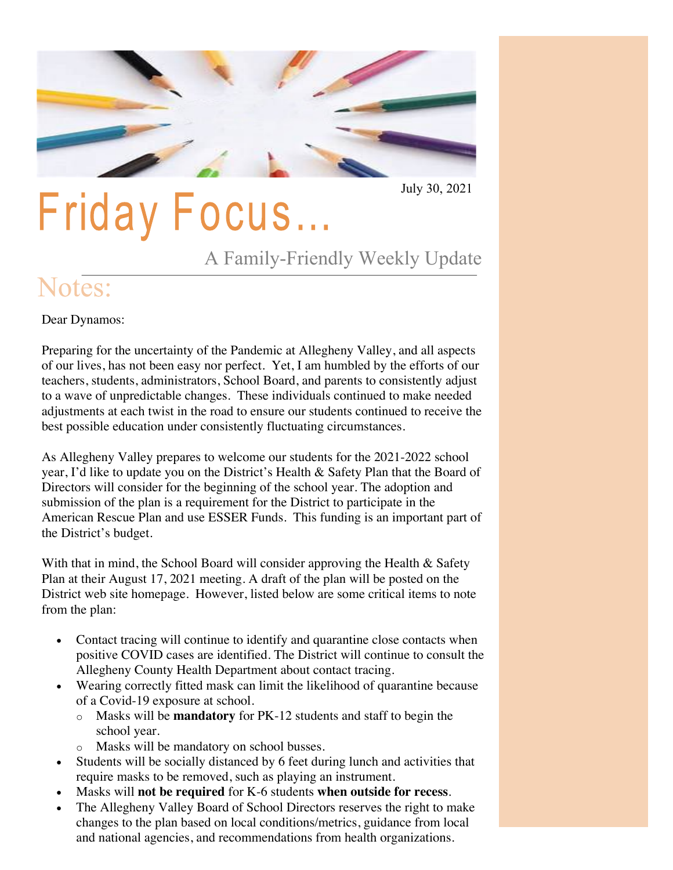

July 30, 2021

## **Friday Focus...**

A Family-Friendly Weekly Update

## Notes:

Dear Dynamos:

Preparing for the uncertainty of the Pandemic at Allegheny Valley, and all aspects of our lives, has not been easy nor perfect. Yet, I am humbled by the efforts of our teachers, students, administrators, School Board, and parents to consistently adjust to a wave of unpredictable changes. These individuals continued to make needed adjustments at each twist in the road to ensure our students continued to receive the best possible education under consistently fluctuating circumstances.

As Allegheny Valley prepares to welcome our students for the 2021-2022 school year, I'd like to update you on the District's Health & Safety Plan that the Board of Directors will consider for the beginning of the school year. The adoption and submission of the plan is a requirement for the District to participate in the American Rescue Plan and use ESSER Funds. This funding is an important part of the District's budget.

With that in mind, the School Board will consider approving the Health & Safety Plan at their August 17, 2021 meeting. A draft of the plan will be posted on the District web site homepage. However, listed below are some critical items to note from the plan:

- Contact tracing will continue to identify and quarantine close contacts when positive COVID cases are identified. The District will continue to consult the Allegheny County Health Department about contact tracing.
- Wearing correctly fitted mask can limit the likelihood of quarantine because of a Covid-19 exposure at school.
	- o Masks will be **mandatory** for PK-12 students and staff to begin the school year.
	- o Masks will be mandatory on school busses.
- Students will be socially distanced by 6 feet during lunch and activities that require masks to be removed, such as playing an instrument.
- Masks will **not be required** for K-6 students **when outside for recess**.
- The Allegheny Valley Board of School Directors reserves the right to make changes to the plan based on local conditions/metrics, guidance from local and national agencies, and recommendations from health organizations.